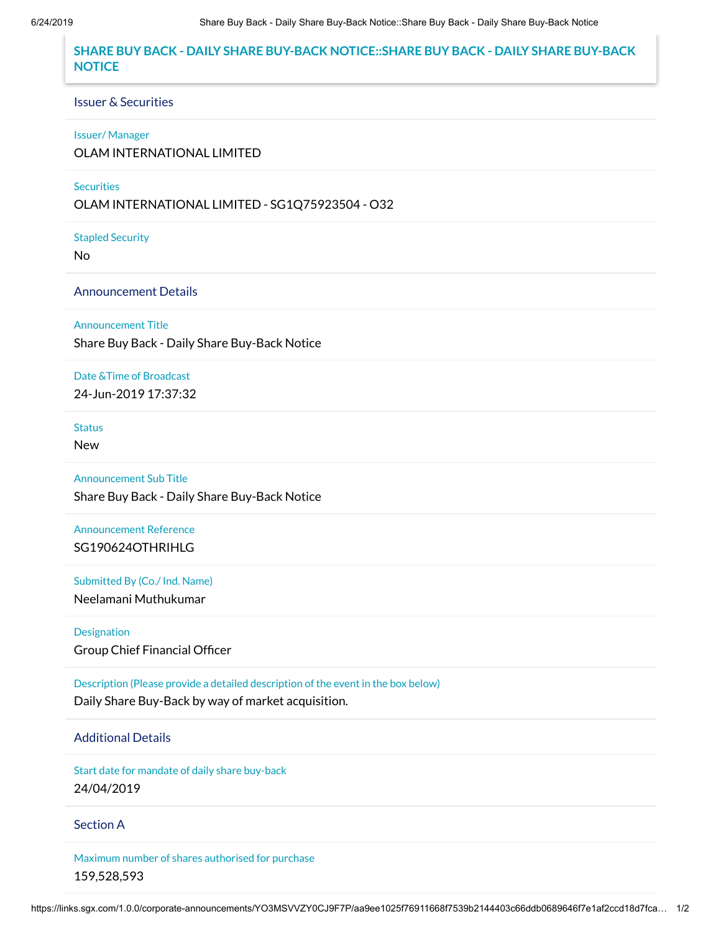# **SHARE BUY BACK - DAILY SHARE BUY-BACK NOTICE::SHARE BUY BACK - DAILY SHARE BUY-BACK NOTICE**

#### Issuer & Securities

#### Issuer/ Manager

OLAM INTERNATIONAL LIMITED

### **Securities**

OLAM INTERNATIONAL LIMITED - SG1Q75923504 - O32

Stapled Security

No

## Announcement Details

Announcement Title

Share Buy Back - Daily Share Buy-Back Notice

Date &Time of Broadcast

24-Jun-2019 17:37:32

**Status** 

New

Announcement Sub Title Share Buy Back - Daily Share Buy-Back Notice

Announcement Reference SG190624OTHRIHLG

Submitted By (Co./ Ind. Name) Neelamani Muthukumar

Designation Group Chief Financial Officer

Description (Please provide a detailed description of the event in the box below) Daily Share Buy-Back by way of market acquisition.

# Additional Details

Start date for mandate of daily share buy-back 24/04/2019

### Section A

Maximum number of shares authorised for purchase 159,528,593